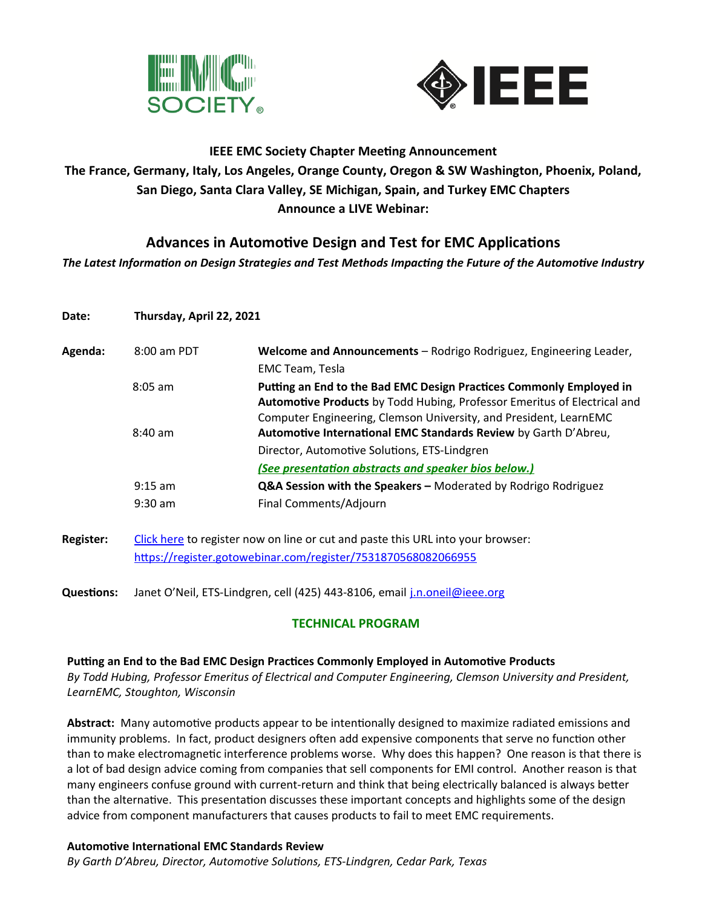



# **IEEE EMC Society Chapter Meeting Announcement The France, Germany, Italy, Los Angeles, Orange County, Oregon & SW Washington, Phoenix, Poland, San Diego, Santa Clara Valley, SE Michigan, Spain, and Turkey EMC Chapters Announce a LIVE Webinar:**

## **Advances in Automotive Design and Test for EMC Applications**

*The Latest Information on Design Strategies and Test Methods Impacting the Future of the Automotive Industry*

| Date:            | Thursday, April 22, 2021                                                        |                                                                                                                                                                                                                      |
|------------------|---------------------------------------------------------------------------------|----------------------------------------------------------------------------------------------------------------------------------------------------------------------------------------------------------------------|
| Agenda:          | 8:00 am PDT                                                                     | Welcome and Announcements - Rodrigo Rodriguez, Engineering Leader,                                                                                                                                                   |
|                  |                                                                                 | EMC Team, Tesla                                                                                                                                                                                                      |
|                  | $8:05$ am                                                                       | Putting an End to the Bad EMC Design Practices Commonly Employed in<br>Automotive Products by Todd Hubing, Professor Emeritus of Electrical and<br>Computer Engineering, Clemson University, and President, LearnEMC |
|                  | $8:40$ am                                                                       | Automotive International EMC Standards Review by Garth D'Abreu,                                                                                                                                                      |
|                  |                                                                                 | Director, Automotive Solutions, ETS-Lindgren                                                                                                                                                                         |
|                  |                                                                                 | (See presentation abstracts and speaker bios below.)                                                                                                                                                                 |
|                  | $9:15$ am                                                                       | Q&A Session with the Speakers - Moderated by Rodrigo Rodriguez                                                                                                                                                       |
|                  | $9:30$ am                                                                       | Final Comments/Adjourn                                                                                                                                                                                               |
| <b>Register:</b> | Click here to register now on line or cut and paste this URL into your browser: |                                                                                                                                                                                                                      |
|                  | https://register.gotowebinar.com/register/7531870568082066955                   |                                                                                                                                                                                                                      |

**Questions:** Janet O'Neil, ETS-Lindgren, cell (425) 443-8106, email [j.n.oneil@ieee.org](mailto:j.n.oneil@ieee.org)

### **TECHNICAL PROGRAM**

#### **Putting an End to the Bad EMC Design Practices Commonly Employed in Automotive Products**

*By Todd Hubing, Professor Emeritus of Electrical and Computer Engineering, Clemson University and President, LearnEMC, Stoughton, Wisconsin*

**Abstract:** Many automotive products appear to be intentionally designed to maximize radiated emissions and immunity problems. In fact, product designers often add expensive components that serve no function other than to make electromagnetic interference problems worse. Why does this happen? One reason is that there is a lot of bad design advice coming from companies that sell components for EMI control. Another reason is that many engineers confuse ground with current-return and think that being electrically balanced is always better than the alternative. This presentation discusses these important concepts and highlights some of the design advice from component manufacturers that causes products to fail to meet EMC requirements.

#### **Automotive International EMC Standards Review**

*By Garth D'Abreu, Director, Automotive Solutions, ETS-Lindgren, Cedar Park, Texas*